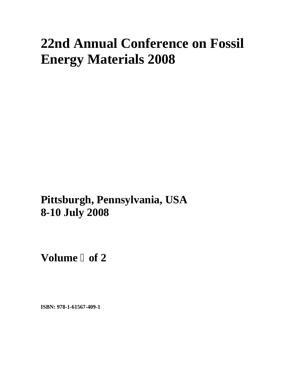# **22nd Annual Conference on Fossil Energy Materials 2008**

**Pittsburgh, Pennsylvania, USA 8-10 July 2008**

**Volume of 2** 

**ISBN: 978-1-61567-409-1**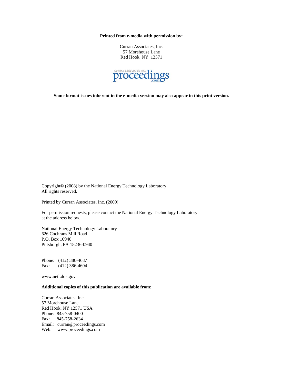**Printed from e-media with permission by:** 

Curran Associates, Inc. 57 Morehouse Lane Red Hook, NY 12571



**Some format issues inherent in the e-media version may also appear in this print version.** 

Copyright© (2008) by the National Energy Technology Laboratory All rights reserved.

Printed by Curran Associates, Inc. (2009)

For permission requests, please contact the National Energy Technology Laboratory at the address below.

National Energy Technology Laboratory 626 Cochrans Mill Road P.O. Box 10940 Pittsburgh, PA 15236-0940

Phone: (412) 386-4687 Fax: (412) 386-4604

www.netl.doe.gov

### **Additional copies of this publication are available from:**

Curran Associates, Inc. 57 Morehouse Lane Red Hook, NY 12571 USA Phone: 845-758-0400 Fax: 845-758-2634 Email: curran@proceedings.com Web: www.proceedings.com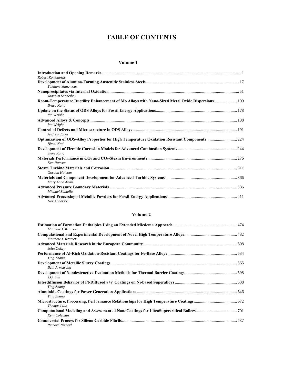## **TABLE OF CONTENTS**

#### **Volume 1**

| Robert Romanosky                                                                                |  |
|-------------------------------------------------------------------------------------------------|--|
|                                                                                                 |  |
| Yukinori Yamamoto                                                                               |  |
| Joachim Schneibel                                                                               |  |
| Room-Temperature Ductility Enhancement of Mo Alloys with Nano-Sized Metal Oxide Dispersions 100 |  |
| <b>Bruce Kang</b>                                                                               |  |
|                                                                                                 |  |
| Ian Wright                                                                                      |  |
|                                                                                                 |  |
| Ian Wright                                                                                      |  |
|                                                                                                 |  |
| Andrew Jones                                                                                    |  |
| Optimization of ODS-Alloy Properties for High Temperature Oxidation Resistant Components224     |  |
| <b>Bimal Kad</b>                                                                                |  |
|                                                                                                 |  |
| <b>Steve Kung</b>                                                                               |  |
|                                                                                                 |  |
| Ken Natesan                                                                                     |  |
|                                                                                                 |  |
| Gordon Holcom                                                                                   |  |
|                                                                                                 |  |
| Mary Anne Alvin                                                                                 |  |
|                                                                                                 |  |
| Michael Santella                                                                                |  |
|                                                                                                 |  |
| <b>Iver Anderson</b>                                                                            |  |

## **Volume 2**

| Matthew J. Kramer     |  |
|-----------------------|--|
| Matthew J. Kramer     |  |
| John Oakev            |  |
| Ying Zhang            |  |
| <b>Beth Armstrong</b> |  |
| J.G. Sun              |  |
| Ying Zhang            |  |
| Ying Zhang            |  |
| Thomas Lillo          |  |
| Kent Coleman          |  |
| Richard Nixdorf       |  |